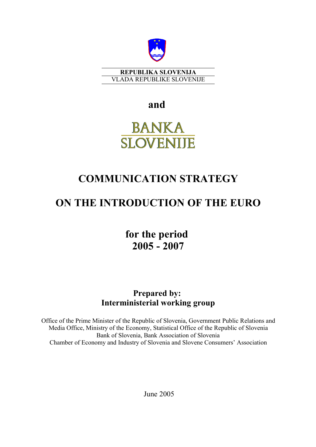

**REPUBLIKA SLOVENIJA** VLADA REPUBLIKE SLOVENIJE

**and**

# **BANKA SLOVENIJE**

## **COMMUNICATION STRATEGY**

## **ON THE INTRODUCTION OF THE EURO**

**for the period 2005 - 2007**

## **Prepared by: Interministerial working group**

Office of the Prime Minister of the Republic of Slovenia, Government Public Relations and Media Office, Ministry of the Economy, Statistical Office of the Republic of Slovenia Bank of Slovenia, Bank Association of Slovenia Chamber of Economy and Industry of Slovenia and Slovene Consumers' Association

June 2005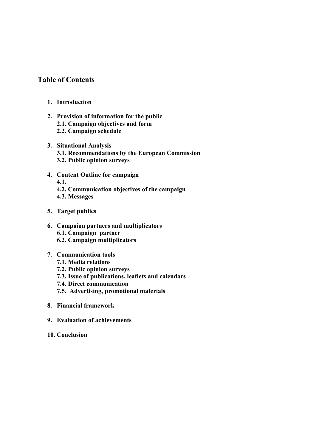## **Table of Contents**

- **1. Introduction**
- **2. Provision of information for the public 2.1. Campaign objectives and form 2.2. Campaign schedule**
- **3. Situational Analysis 3.1. Recommendations by the European Commission 3.2. Public opinion surveys**
- **4. Content Outline for campaign 4.1. 4.2. Communication objectives of the campaign 4.3. Messages**
- **5. Target publics**
- **6. Campaign partners and multiplicators 6.1. Campaign partner 6.2. Campaign multiplicators**

## **7. Communication tools**

- **7.1. Media relations**
- **7.2. Public opinion surveys**
- **7.3. Issue of publications, leaflets and calendars**
- **7.4. Direct communication**
- **7.5. Advertising, promotional materials**
- **8. Financial framework**
- **9. Evaluation of achievements**
- **10. Conclusion**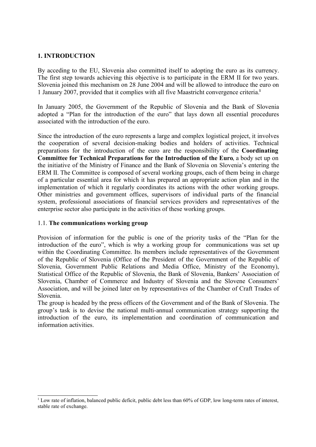## **1. INTRODUCTION**

By acceding to the EU, Slovenia also committed itself to adopting the euro as its currency. The first step towards achieving this objective is to participate in the ERM II for two years. Slovenia joined this mechanism on 28 June 2004 and will be allowed to introduce the euro on 1 January 2007, provided that it complies with all five Maastricht convergence criteria. **1**

In January 2005, the Government of the Republic of Slovenia and the Bank of Slovenia adopted a "Plan for the introduction of the euro" that lays down all essential procedures associated with the introduction of the euro.

Since the introduction of the euro represents a large and complex logistical project, it involves the cooperation of several decision-making bodies and holders of activities. Technical preparations for the introduction of the euro are the responsibility of the **Coordinating Committee for Technical Preparations for the Introduction of the Euro**, a body set up on the initiative of the Ministry of Finance and the Bank of Slovenia on Slovenia's entering the ERM II. The Committee is composed of several working groups, each of them being in charge of a particular essential area for which it has prepared an appropriate action plan and in the implementation of which it regularly coordinates its actions with the other working groups. Other ministries and government offices, supervisors of individual parts of the financial system, professional associations of financial services providers and representatives of the enterprise sector also participate in the activities of these working groups.

#### 1.1. **The communications working group**

Provision of information for the public is one of the priority tasks of the "Plan for the introduction of the euro", which is why a working group for communications was set up within the Coordinating Committee. Its members include representatives of the Government of the Republic of Slovenia (Office of the President of the Government of the Republic of Slovenia, Government Public Relations and Media Office, Ministry of the Economy), Statistical Office of the Republic of Slovenia, the Bank of Slovenia, Bankers' Association of Slovenia, Chamber of Commerce and Industry of Slovenia and the Slovene Consumers' Association, and will be joined later on by representatives of the Chamber of Craft Trades of Slovenia.

The group is headed by the press officers of the Government and of the Bank of Slovenia. The group's task is to devise the national multi-annual communication strategy supporting the introduction of the euro, its implementation and coordination of communication and information activities.

<sup>&</sup>lt;sup>1</sup> Low rate of inflation, balanced public deficit, public debt less than 60% of GDP, low long-term rates of interest, stable rate of exchange.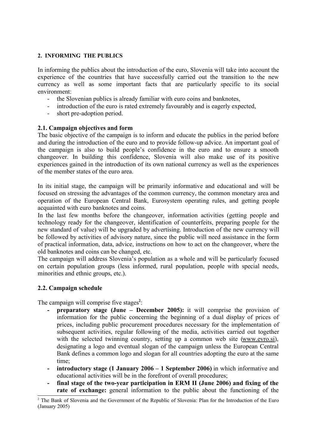#### **2. INFORMING THE PUBLICS**

In informing the publics about the introduction of the euro, Slovenia will take into account the experience of the countries that have successfully carried out the transition to the new currency as well as some important facts that are particularly specific to its social environment:

- the Slovenian publics is already familiar with euro coins and banknotes,
- introduction of the euro is rated extremely favourably and is eagerly expected,
- short pre-adoption period.

## **2.1. Campaign objectives and form**

The basic objective of the campaign is to inform and educate the publics in the period before and during the introduction of the euro and to provide follow-up advice. An important goal of the campaign is also to build people's confidence in the euro and to ensure a smooth changeover. In building this confidence, Slovenia will also make use of its positive experiences gained in the introduction of its own national currency as well as the experiences of the member states of the euro area.

In its initial stage, the campaign will be primarily informative and educational and will be focused on stressing the advantages of the common currency, the common monetary area and operation of the European Central Bank, Eurosystem operating rules, and getting people acquainted with euro banknotes and coins.

In the last few months before the changeover, information activities (getting people and technology ready for the changeover, identification of counterfeits, preparing people for the new standard of value) will be upgraded by advertising. Introduction of the new currency will be followed by activities of advisory nature, since the public will need assistance in the form of practical information, data, advice, instructions on how to act on the changeover, where the old banknotes and coins can be changed, etc.

The campaign will address Slovenia's population as a whole and will be particularly focused on certain population groups (less informed, rural population, people with special needs, minorities and ethnic groups, etc.).

## **2.2. Campaign schedule**

The campaign will comprise five stages<sup>2</sup>:

- **- preparatory stage (June – December 2005):** it will comprise the provision of information for the public concerning the beginning of a dual display of prices of prices, including public procurement procedures necessary for the implementation of subsequent activities, regular following of the media, activities carried out together with the selected twinning country, setting up a common web site (www.evro.si), designating a logo and eventual slogan of the campaign unless the European Central Bank defines a common logo and slogan for all countries adopting the euro at the same time;
- **- introductory stage (1 January 2006 – 1 September 2006)** in which informative and educational activities will be in the forefront of overall procedures;
- **- final stage of the two-year participation in ERM II (June 2006) and fixing of the rate of exchange:** general information to the public about the functioning of the

<sup>&</sup>lt;sup>2</sup> The Bank of Slovenia and the Government of the Republic of Slovenia: Plan for the Introduction of the Euro (January 2005)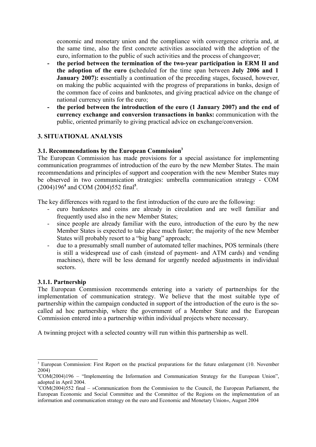economic and monetary union and the compliance with convergence criteria and, at the same time, also the first concrete activities associated with the adoption of the euro, information to the public of such activities and the process of changeover;

- **- the period between the termination of the two-year participation in ERM II and the adoption of the euro (**scheduled for the time span between **July 2006 and 1 January 2007):** essentially a continuation of the preceding stages, focused, however, on making the public acquainted with the progress of preparations in banks, design of the common face of coins and banknotes, and giving practical advice on the change of national currency units for the euro;
- **- the period between the introduction of the euro (1 January 2007) and the end of currency exchange and conversion transactions in banks:** communication with the public, oriented primarily to giving practical advice on exchange/conversion.

## **3. SITUATIONAL ANALYSIS**

## **3.1. Recommendations by the European Commission<sup>3</sup>**

The European Commission has made provisions for a special assistance for implementing communication programmes of introduction of the euro by the new Member States. The main recommendations and principles of support and cooperation with the new Member States may be observed in two communication strategies: umbrella communication strategy - COM (2004)196**<sup>4</sup>** and COM (2004)552 final**<sup>5</sup>** .

The key differences with regard to the first introduction of the euro are the following:

- euro banknotes and coins are already in circulation and are well familiar and frequently used also in the new Member States;
- since people are already familiar with the euro, introduction of the euro by the new Member States is expected to take place much faster; the majority of the new Member States will probably resort to a "big bang" approach;
- due to a presumably small number of automated teller machines, POS terminals (there is still a widespread use of cash (instead of payment- and ATM cards) and vending machines), there will be less demand for urgently needed adjustments in individual sectors.

#### **3.1.1. Partnership**

The European Commission recommends entering into a variety of partnerships for the implementation of communication strategy. We believe that the most suitable type of partnership within the campaign conducted in support of the introduction of the euro is the socalled ad hoc partnership, where the government of a Member State and the European Commission entered into a partnership within individual projects where necessary.

A twinning project with a selected country will run within this partnership as well.

<sup>&</sup>lt;sup>3</sup> European Commission: First Report on the practical preparations for the future enlargement (10. November 2004)

<sup>4</sup>COM(2004)196 – "Implementing the Information and Communication Strategy for the European Union", adopted in April 2004.

 $5\text{COM}(2004)$ 552 final – »Communication from the Commission to the Council, the European Parliament, the European Economic and Social Committee and the Committee of the Regions on the implementation of an information and communication strategy on the euro and Economic and Monetary Union«, August 2004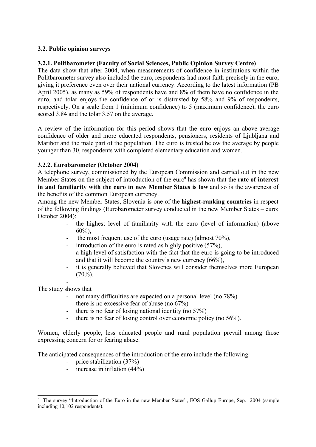## **3.2. Public opinion surveys**

#### **3.2.1. Politbarometer (Faculty of Social Sciences, Public Opinion Survey Centre)**

The data show that after 2004, when measurements of confidence in institutions within the Politbarometer survey also included the euro, respondents had most faith precisely in the euro, giving it preference even over their national currency. According to the latest information (PB April 2005), as many as 59% of respondents have and 8% of them have no confidence in the euro, and tolar enjoys the confidence of or is distrusted by 58% and 9% of respondents, respectively. On a scale from 1 (minimum confidence) to 5 (maximum confidence), the euro scored 3.84 and the tolar 3.57 on the average.

A review of the information for this period shows that the euro enjoys an above-average confidence of older and more educated respondents, pensioners, residents of Ljubljana and Maribor and the male part of the population. The euro is trusted below the average by people younger than 30, respondents with completed elementary education and women.

#### **3.2.2. Eurobarometer (October 2004)**

A telephone survey, commissioned by the European Commission and carried out in the new Member States on the subject of introduction of the euro **6** has shown that the **rate of interest in and familiarity with the euro in new Member States is low** and so is the awareness of the benefits of the common European currency.

Among the new Member States, Slovenia is one of the **highest-ranking countries** in respect of the following findings (Eurobarometer survey conducted in the new Member States – euro; October 2004):

- the highest level of familiarity with the euro (level of information) (above  $60\%$ ).
- the most frequent use of the euro (usage rate) (almost  $70\%$ ),
- introduction of the euro is rated as highly positive (57%),
- a high level of satisfaction with the fact that the euro is going to be introduced and that it will become the country's new currency (66%),
- it is generally believed that Slovenes will consider themselves more European  $(70\%)$ .

- The study shows that

- not many difficulties are expected on a personal level (no 78%)
- there is no excessive fear of abuse (no  $67\%$ )
- there is no fear of losing national identity (no 57%)
- there is no fear of losing control over economic policy (no 56%).

Women, elderly people, less educated people and rural population prevail among those expressing concern for or fearing abuse.

The anticipated consequences of the introduction of the euro include the following:

- price stabilization (37%)
- increase in inflation (44%)

<sup>6</sup> The survey "Introduction of the Euro in the new Member States", EOS Gallup Europe, Sep. 2004 (sample including 10,102 respondents).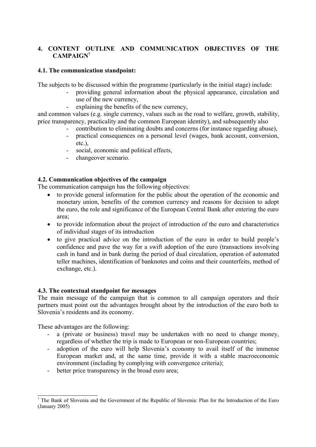## **4. CONTENT OUTLINE AND COMMUNICATION OBJECTIVES OF THE CAMPAIGN 7**

## **4.1. The communication standpoint:**

The subjects to be discussed within the programme (particularly in the initial stage) include:

- providing general information about the physical appearance, circulation and use of the new currency,
- explaining the benefits of the new currency,

and common values (e.g. single currency, values such as the road to welfare, growth, stability, price transparency, practicality and the common European identity), and subsequently also

- contribution to eliminating doubts and concerns (for instance regarding abuse),
- practical consequences on a personal level (wages, bank account, conversion, etc.)
- social, economic and political effects,
- changeover scenario.

## **4.2. Communication objectives of the campaign**

The communication campaign has the following objectives:

- to provide general information for the public about the operation of the economic and monetary union, benefits of the common currency and reasons for decision to adopt the euro, the role and significance of the European Central Bank after entering the euro area;
- to provide information about the project of introduction of the euro and characteristics of individual stages of its introduction
- to give practical advice on the introduction of the euro in order to build people's confidence and pave the way for a swift adoption of the euro (transactions involving cash in hand and in bank during the period of dual circulation, operation of automated teller machines, identification of banknotes and coins and their counterfeits, method of exchange, etc.).

## **4.3. The contextual standpoint for messages**

The main message of the campaign that is common to all campaign operators and their partners must point out the advantages brought about by the introduction of the euro both to Slovenia's residents and its economy.

These advantages are the following:

- a (private or business) travel may be undertaken with no need to change money, regardless of whether the trip is made to European or non-European countries;
- adoption of the euro will help Slovenia's economy to avail itself of the immense European market and, at the same time, provide it with a stable macroeconomic environment (including by complying with convergence criteria);
- better price transparency in the broad euro area;

<sup>7</sup> The Bank of Slovenia and the Government of the Republic of Slovenia: Plan for the Introduction of the Euro (January 2005)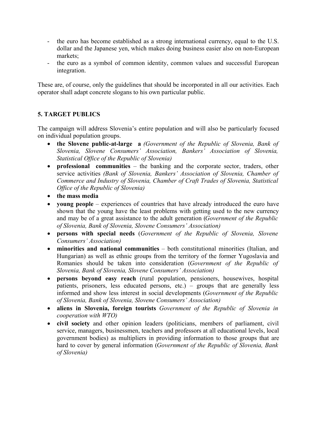- the euro has become established as a strong international currency, equal to the U.S. dollar and the Japanese yen, which makes doing business easier also on non-European markets;
- the euro as a symbol of common identity, common values and successful European integration.

These are, of course, only the guidelines that should be incorporated in all our activities. Each operator shall adapt concrete slogans to his own particular public.

## **5. TARGET PUBLICS**

The campaign will address Slovenia's entire population and will also be particularly focused on individual population groups.

- **the Slovene public-at-large a** *(Government of the Republic of Slovenia, Bank of Slovenia, Slovene Consumers' Association, Bankers' Association of Slovenia, Statistical Office of the Republic of Slovenia)*
- **professional communities** the banking and the corporate sector, traders, other service activities *(Bank of Slovenia, Bankers' Association of Slovenia, Chamber of Commerce and Industry of Slovenia, Chamber of Craft Trades of Slovenia, Statistical Office of the Republic of Slovenia)*
- **the mass media**
- **voung people** experiences of countries that have already introduced the euro have shown that the young have the least problems with getting used to the new currency and may be of a great assistance to the adult generation (*Government of the Republic of Slovenia, Bank of Slovenia, Slovene Consumers' Association)*
- **persons with special needs** (*Government of the Republic of Slovenia, Slovene Consumers' Association)*
- **minorities and national communities** both constitutional minorities (Italian, and Hungarian) as well as ethnic groups from the territory of the former Yugoslavia and Romanies should be taken into consideration (*Government of the Republic of Slovenia, Bank of Slovenia, Slovene Consumers' Association)*
- **persons beyond easy reach** (rural population, pensioners, housewives, hospital patients, prisoners, less educated persons, etc.) – groups that are generally less informed and show less interest in social developments (*Government of the Republic of Slovenia, Bank of Slovenia, Slovene Consumers' Association)*
- **aliens in Slovenia, foreign tourists** *Government of the Republic of Slovenia in cooperation with WTO)*
- **civil society** and other opinion leaders (politicians, members of parliament, civil service, managers, businessmen, teachers and professors at all educational levels, local government bodies) as multipliers in providing information to those groups that are hard to cover by general information (*Government of the Republic of Slovenia, Bank of Slovenia)*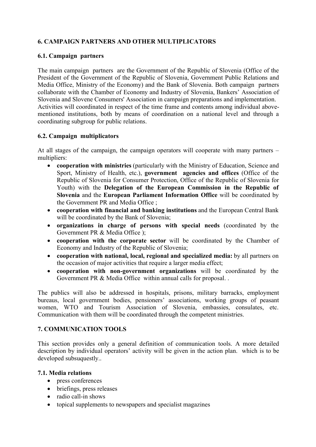## **6. CAMPAIGN PARTNERS AND OTHER MULTIPLICATORS**

#### **6.1. Campaign partners**

The main campaign partners are the Government of the Republic of Slovenia (Office of the President of the Government of the Republic of Slovenia, Government Public Relations and Media Office, Ministry of the Economy) and the Bank of Slovenia. Both campaign partners collaborate with the Chamber of Economy and Industry of Slovenia, Bankers' Association of Slovenia and Slovene Consumers' Association in campaign preparations and implementation. Activities will coordinated in respect of the time frame and contents among individual abovementioned institutions, both by means of coordination on a national level and through a coordinating subgroup for public relations.

#### **6.2. Campaign multiplicators**

At all stages of the campaign, the campaign operators will cooperate with many partners – multipliers:

- **cooperation with ministries** (particularly with the Ministry of Education, Science and Sport, Ministry of Health, etc.), **government agencies and offices** (Office of the Republic of Slovenia for Consumer Protection, Office of the Republic of Slovenia for Youth) with the **Delegation of the European Commission in the Republic of Slovenia** and the **European Parliament Information Office** will be coordinated by the Government PR and Media Office ;
- **cooperation with financial and banking institutions** and the European Central Bank will be coordinated by the Bank of Slovenia;
- **organizations in charge of persons with special needs** (coordinated by the Government PR & Media Office );
- **cooperation with the corporate sector** will be coordinated by the Chamber of Economy and Industry of the Republic of Slovenia;
- **cooperation with national, local, regional and specialized media:** by all partners on the occasion of major activities that require a larger media effect;
- **cooperation with non-government organizations** will be coordinated by the Government PR & Media Office within annual calls for proposal.

The publics will also be addressed in hospitals, prisons, military barracks, employment bureaus, local government bodies, pensioners' associations, working groups of peasant women, WTO and Tourism Association of Slovenia, embassies, consulates, etc. Communication with them will be coordinated through the competent ministries.

## **7. COMMUNICATION TOOLS**

This section provides only a general definition of communication tools. A more detailed description by individual operators' activity will be given in the action plan. which is to be developed subsuquestly...

#### **7.1. Media relations**

- press conferences
- briefings, press releases
- radio call-in shows
- topical supplements to newspapers and specialist magazines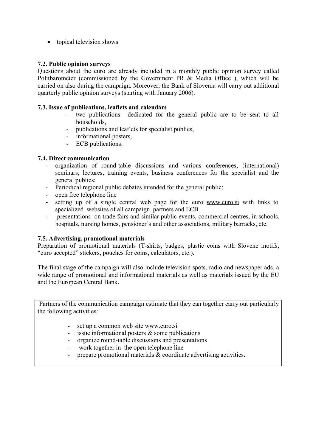• topical television shows

## **7.2. Public opinion surveys**

Questions about the euro are already included in a monthly public opinion survey called Politbarometer (commissioned by the Government PR & Media Office ), which will be carried on also during the campaign. Moreover, the Bank of Slovenia will carry out additional quarterly public opinion surveys (starting with January 2006).

#### **7.3. Issue of publications, leaflets and calendars**

- two publications dedicated for the general public are to be sent to all households,
- publications and leaflets for specialist publics,
- informational posters,
- ECB publications.

#### **7.4. Direct communication**

- organization of round-table discussions and various conferences, (international) seminars, lectures, training events, business conferences for the specialist and the general publics;
- Periodical regional public debates intended for the general public;
- open free telephone line
- **-** setting up of a single central web page for the euro www.euro.si with links to specialized websites of all campaign partners and ECB
- presentations on trade fairs and similar public events, commercial centres, in schools, hospitals, nursing homes, pensioner's and other associations, military barracks, etc.

## **7.5. Advertising, promotional materials**

Preparation of promotional materials (T-shirts, badges, plastic coins with Slovene motifs, "euro accepted" stickers, pouches for coins, calculators, etc.).

The final stage of the campaign will also include television spots, radio and newspaper ads, a wide range of promotional and informational materials as well as materials issued by the EU and the European Central Bank.

Partners of the communication campaign estimate that they can together carry out particularly the following activities:

- set up a common web site www.euro.si
- issue informational posters & some publications
- organize round-table discussions and presentations
- work together in the open telephone line
- prepare promotional materials  $&$  coordinate advertising activities.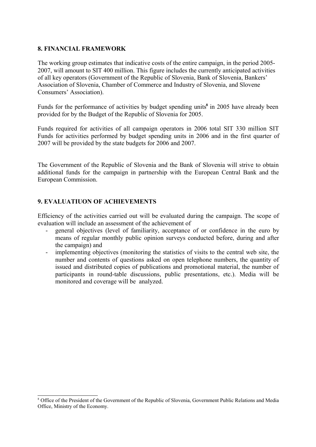#### **8. FINANCIAL FRAMEWORK**

The working group estimates that indicative costs of the entire campaign, in the period 2005- 2007, will amount to SIT 400 million. This figure includes the currently anticipated activities of all key operators (Government of the Republic of Slovenia, Bank of Slovenia, Bankers' Association of Slovenia, Chamber of Commerce and Industry of Slovenia, and Slovene Consumers' Association).

Funds for the performance of activities by budget spending units<sup>8</sup> in 2005 have already been provided for by the Budget of the Republic of Slovenia for 2005.

Funds required for activities of all campaign operators in 2006 total SIT 330 million SIT Funds for activities performed by budget spending units in 2006 and in the first quarter of 2007 will be provided by the state budgets for 2006 and 2007.

The Government of the Republic of Slovenia and the Bank of Slovenia will strive to obtain additional funds for the campaign in partnership with the European Central Bank and the European Commission.

## **9. EVALUATIUON OF ACHIEVEMENTS**

Efficiency of the activities carried out will be evaluated during the campaign. The scope of evaluation will include an assessment of the achievement of

- general objectives (level of familiarity, acceptance of or confidence in the euro by means of regular monthly public opinion surveys conducted before, during and after the campaign) and
- implementing objectives (monitoring the statistics of visits to the central web site, the number and contents of questions asked on open telephone numbers, the quantity of issued and distributed copies of publications and promotional material, the number of participants in round-table discussions, public presentations, etc.). Media will be monitored and coverage will be analyzed.

<sup>8</sup> Office of the President of the Government of the Republic of Slovenia, Government Public Relations and Media Office, Ministry of the Economy.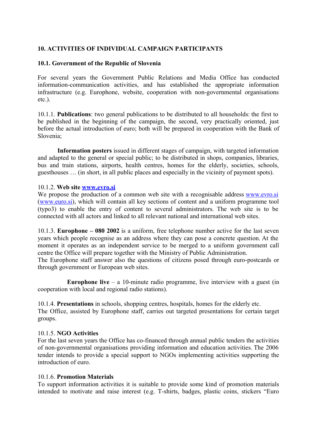## **10. ACTIVITIES OF INDIVIDUAL CAMPAIGN PARTICIPANTS**

#### **10.1. Government of the Republic of Slovenia**

For several years the Government Public Relations and Media Office has conducted information-communication activities, and has established the appropriate information infrastructure (e.g. Europhone, website, cooperation with non-governmental organisations etc.).

10.1.1. **Publications**: two general publications to be distributed to all households: the first to be published in the beginning of the campaign, the second, very practically oriented, just before the actual introduction of euro; both will be prepared in cooperation with the Bank of Slovenia;

**Information posters** issued in different stages of campaign, with targeted information and adapted to the general or special public; to be distributed in shops, companies, libraries, bus and train stations, airports, health centres, homes for the elderly, societies, schools, guesthouses … (in short, in all public places and especially in the vicinity of payment spots).

#### 10.1.2. **Web site www.evro.si**

We propose the production of a common web site with a recognisable address www.evro.si (www.euro.si), which will contain all key sections of content and a uniform programme tool (typo3) to enable the entry of content to several administrators. The web site is to be connected with all actors and linked to all relevant national and international web sites.

10.1.3. **Europhone – 080 2002** is a uniform, free telephone number active for the last seven years which people recognise as an address where they can pose a concrete question. At the moment it operates as an independent service to be merged to a uniform government call centre the Office will prepare together with the Ministry of Public Administration.

The Europhone staff answer also the questions of citizens posed through euro-postcards or through government or European web sites.

**Europhone** live  $-$  a 10-minute radio programme, live interview with a guest (in cooperation with local and regional radio stations).

10.1.4. **Presentations** in schools, shopping centres, hospitals, homes for the elderly etc. The Office, assisted by Europhone staff, carries out targeted presentations for certain target groups.

#### 10.1.5. **NGO Activities**

For the last seven years the Office has co-financed through annual public tenders the activities of non-governmental organisations providing information and education activities. The 2006 tender intends to provide a special support to NGOs implementing activities supporting the introduction of euro.

#### 10.1.6. **Promotion Materials**

To support information activities it is suitable to provide some kind of promotion materials intended to motivate and raise interest (e.g. T-shirts, badges, plastic coins, stickers "Euro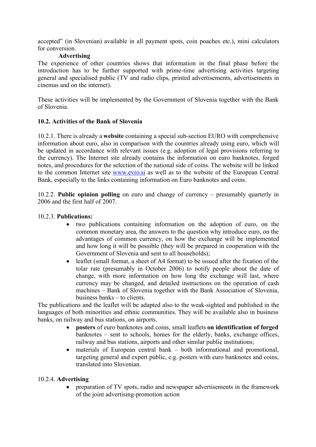accepted" (in Slovenian) available in all payment spots, coin poaches etc.), mini calculators for conversion.

## **Advertising**

The experience of other countries shows that information in the final phase before the introduction has to be further supported with prime-time advertising activities targeting general and specialised public (TV and radio clips, printed advertisements, advertisements in cinemas and on the internet).

These activities will be implemented by the Government of Slovenia together with the Bank of Slovenia.

## **10.2. Activities of the Bank of Slovenia**

10.2.1. There is already a **website** containing a special sub-section EURO with comprehensive information about euro, also in comparison with the countries already using euro, which will be updated in accordance with relevant issues (e.g. adoption of legal provisions referring to the currency). The Internet site already contains the information on euro banknotes, forged notes, and procedures for the selection of the national side of coins. The website will be linked to the common Internet site www.evro.si as well as to the website of the European Central Bank, especially to the links containing information on Euro banknotes and coins.

10.2.2. **Public opinion polling** on euro and change of currency – presumably quarterly in 2006 and the first half of 2007.

## 10.2.3. **Publications:**

- two publications containing information on the adoption of euro, on the common monetary area, the answers to the question why introduce euro, on the advantages of common currency, on how the exchange will be implemented and how long it will be possible (they will be prepared in cooperation with the Government of Slovenia and sent to all households);
- leaflet (small format, a sheet of A4 format) to be issued after the fixation of the tolar rate (presumably in October 2006) to notify people about the date of change, with more information on how long the exchange will last, where currency may be changed, and detailed instructions on the operation of cash machines – Bank of Slovenia together with the Bank Association of Slovenia, business banks – to clients.

The publications and the leaflet will be adapted also to the weak-sighted and published in the languages of both minorities and ethnic communities. They will be available also in business banks, on railway and bus stations, on airports.

- **posters** of euro banknotes and coins, small leaflets **on identification of forged** banknotes – sent to schools, homes for the elderly, banks, exchange offices, railway and bus stations, airports and other similar public institutions;
- materials of European central bank both informational and promotional, targeting general and expert public, e.g. posters with euro banknotes and coins, translated into Slovenian.

## 10.2.4. **Advertising**

• preparation of TV spots, radio and newspaper advertisements in the framework of the joint advertising-promotion action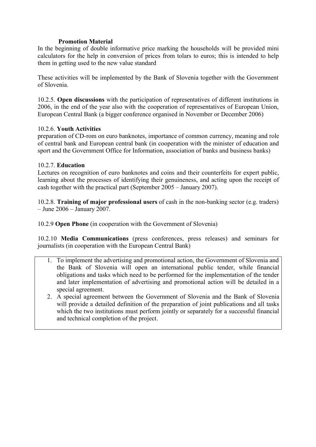### **Promotion Material**

In the beginning of double informative price marking the households will be provided mini calculators for the help in conversion of prices from tolars to euros; this is intended to help them in getting used to the new value standard

These activities will be implemented by the Bank of Slovenia together with the Government of Slovenia.

10.2.5. **Open discussions** with the participation of representatives of different institutions in 2006, in the end of the year also with the cooperation of representatives of European Union, European Central Bank (a bigger conference organised in November or December 2006)

#### 10.2.6. **Youth Activities**

preparation of CD-rom on euro banknotes, importance of common currency, meaning and role of central bank and European central bank (in cooperation with the minister of education and sport and the Government Office for Information, association of banks and business banks)

#### 10.2.7. **Education**

Lectures on recognition of euro banknotes and coins and their counterfeits for expert public, learning about the processes of identifying their genuineness, and acting upon the receipt of cash together with the practical part (September 2005 – January 2007).

10.2.8. **Training of major professional users** of cash in the non-banking sector (e.g. traders) – June 2006 – January 2007.

10.2.9 **Open Phone** (in cooperation with the Government of Slovenia)

10.2.10 **Media Communications** (press conferences, press releases) and seminars for journalists (in cooperation with the European Central Bank)

- 1. To implement the advertising and promotional action, the Government of Slovenia and the Bank of Slovenia will open an international public tender, while financial obligations and tasks which need to be performed for the implementation of the tender and later implementation of advertising and promotional action will be detailed in a special agreement.
- 2. A special agreement between the Government of Slovenia and the Bank of Slovenia will provide a detailed definition of the preparation of joint publications and all tasks which the two institutions must perform jointly or separately for a successful financial and technical completion of the project.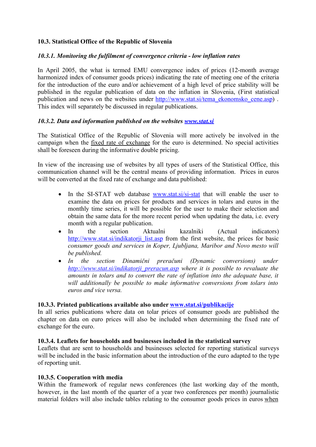## **10.3. Statistical Office of the Republic of Slovenia**

## *10.3.1. Monitoring the fulfilment of convergence criteria - low inflation rates*

In April 2005, the what is termed EMU convergence index of prices (12-month average harmonized index of consumer goods prices) indicating the rate of meeting one of the criteria for the introduction of the euro and/or achievement of a high level of price stability will be published in the regular publication of data on the inflation in Slovenia, (First statistical publication and news on the websites under http://www.stat.si/tema\_ekonomsko\_cene.asp) . This index will separately be discussed in regular publications.

#### *10.3.2. Data and information published on the websites www.stat.si*

The Statistical Office of the Republic of Slovenia will more actively be involved in the campaign when the fixed rate of exchange for the euro is determined. No special activities shall be foreseen during the informative double pricing.

In view of the increasing use of websites by all types of users of the Statistical Office, this communication channel will be the central means of providing information. Prices in euros will be converted at the fixed rate of exchange and data published:

- In the SI-STAT web database www.stat.si/si-stat that will enable the user to examine the data on prices for products and services in tolars and euros in the monthly time series, it will be possible for the user to make their selection and obtain the same data for the more recent period when updating the data, i.e. every month with a regular publication.
- In the section Aktualni kazalniki (Actual indicators) http://www.stat.si/indikatorji\_list.asp from the first website, the prices for basic *consumer goods and services in Koper, Ljubljana, Maribor and Novo mesto will be published.*
- *In the section Dinamični preračuni (Dynamic conversions) under http://www.stat.si/indikatorji\_preracun.asp where it is possible to revaluate the amounts in tolars and to convert the rate of inflation into the adequate base, it will additionally be possible to make informative conversions from tolars into euros and vice versa.*

#### **10.3.3. Printed publications available also under www.stat.si/publikacije**

In all series publications where data on tolar prices of consumer goods are published the chapter on data on euro prices will also be included when determining the fixed rate of exchange for the euro.

#### **10.3.4. Leaflets for households and businesses included in the statistical survey**

Leaflets that are sent to households and businesses selected for reporting statistical surveys will be included in the basic information about the introduction of the euro adapted to the type of reporting unit.

#### **10.3.5. Cooperation with media**

Within the framework of regular news conferences (the last working day of the month, however, in the last month of the quarter of a year two conferences per month) journalistic material folders will also include tables relating to the consumer goods prices in euros when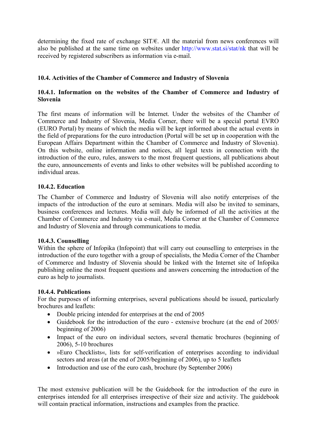determining the fixed rate of exchange SIT/€. All the material from news conferences will also be published at the same time on websites under http://www.stat.si/stat/nk that will be received by registered subscribers as information via e-mail.

## **10.4. Activities of the Chamber of Commerce and Industry of Slovenia**

#### **10.4.1. Information on the websites of the Chamber of Commerce and Industry of Slovenia**

The first means of information will be Internet. Under the websites of the Chamber of Commerce and Industry of Slovenia, Media Corner, there will be a special portal EVRO (EURO Portal) by means of which the media will be kept informed about the actual events in the field of preparations for the euro introduction (Portal will be set up in cooperation with the European Affairs Department within the Chamber of Commerce and Industry of Slovenia). On this website, online information and notices, all legal texts in connection with the introduction of the euro, rules, answers to the most frequent questions, all publications about the euro, announcements of events and links to other websites will be published according to individual areas.

#### **10.4.2. Education**

The Chamber of Commerce and Industry of Slovenia will also notify enterprises of the impacts of the introduction of the euro at seminars. Media will also be invited to seminars, business conferences and lectures. Media will duly be informed of all the activities at the Chamber of Commerce and Industry via e-mail, Media Corner at the Chamber of Commerce and Industry of Slovenia and through communications to media.

#### **10.4.3. Counselling**

Within the sphere of Infopika (Infopoint) that will carry out counselling to enterprises in the introduction of the euro together with a group of specialists, the Media Corner of the Chamber of Commerce and Industry of Slovenia should be linked with the Internet site of Infopika publishing online the most frequent questions and answers concerning the introduction of the euro as help to journalists.

## **10.4.4. Publications**

For the purposes of informing enterprises, several publications should be issued, particularly brochures and leaflets:

- Double pricing intended for enterprises at the end of 2005
- Guidebook for the introduction of the euro extensive brochure (at the end of 2005/ beginning of 2006)
- Impact of the euro on individual sectors, several thematic brochures (beginning of 2006), 5-10 brochures
- »Euro Checklists«, lists for self-verification of enterprises according to individual sectors and areas (at the end of 2005/beginning of 2006), up to 5 leaflets
- Introduction and use of the euro cash, brochure (by September 2006)

The most extensive publication will be the Guidebook for the introduction of the euro in enterprises intended for all enterprises irrespective of their size and activity. The guidebook will contain practical information, instructions and examples from the practice.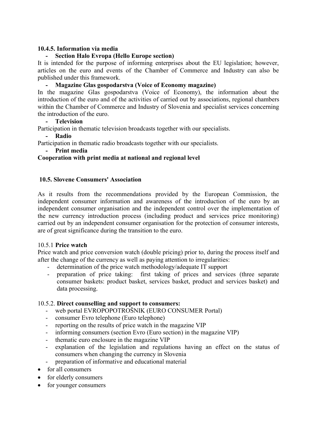#### **10.4.5. Information via media**

### **- Section Halo Evropa (Hello Europe section)**

It is intended for the purpose of informing enterprises about the EU legislation; however, articles on the euro and events of the Chamber of Commerce and Industry can also be published under this framework.

#### **- Magazine Glas gospodarstva (Voice of Economy magazine)**

In the magazine Glas gospodarstva (Voice of Economy), the information about the introduction of the euro and of the activities of carried out by associations, regional chambers within the Chamber of Commerce and Industry of Slovenia and specialist services concerning the introduction of the euro.

**- Television**

Participation in thematic television broadcasts together with our specialists.

**- Radio**

Participation in thematic radio broadcasts together with our specialists.

**- Print media**

#### **Cooperation with print media at national and regional level**

#### **10.5. Slovene Consumers' Association**

As it results from the recommendations provided by the European Commission, the independent consumer information and awareness of the introduction of the euro by an independent consumer organisation and the independent control over the implementation of the new currency introduction process (including product and services price monitoring) carried out by an independent consumer organisation for the protection of consumer interests, are of great significance during the transition to the euro.

#### 10.5.1 **Price watch**

Price watch and price conversion watch (double pricing) prior to, during the process itself and after the change of the currency as well as paying attention to irregularities:

- determination of the price watch methodology/adequate IT support
- preparation of price taking: first taking of prices and services (three separate consumer baskets: product basket, services basket, product and services basket) and data processing.

#### 10.5.2. **Direct counselling and support to consumers:**

- web portal EVROPOPOTROŠNIK (EURO CONSUMER Portal)
- consumer Evro telephone (Euro telephone)
- reporting on the results of price watch in the magazine VIP
- informing consumers (section Evro (Euro section) in the magazine VIP)
- thematic euro enclosure in the magazine VIP
- explanation of the legislation and regulations having an effect on the status of consumers when changing the currency in Slovenia
- preparation of informative and educational material
- for all consumers
- for elderly consumers
- for younger consumers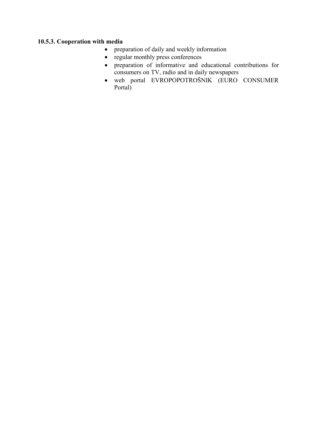## **10.5.3. Cooperation with media**

- preparation of daily and weekly information
- regular monthly press conferences
- preparation of informative and educational contributions for consumers on TV, radio and in daily newspapers
- web portal EVROPOPOTROŠNIK (EURO CONSUMER Portal)